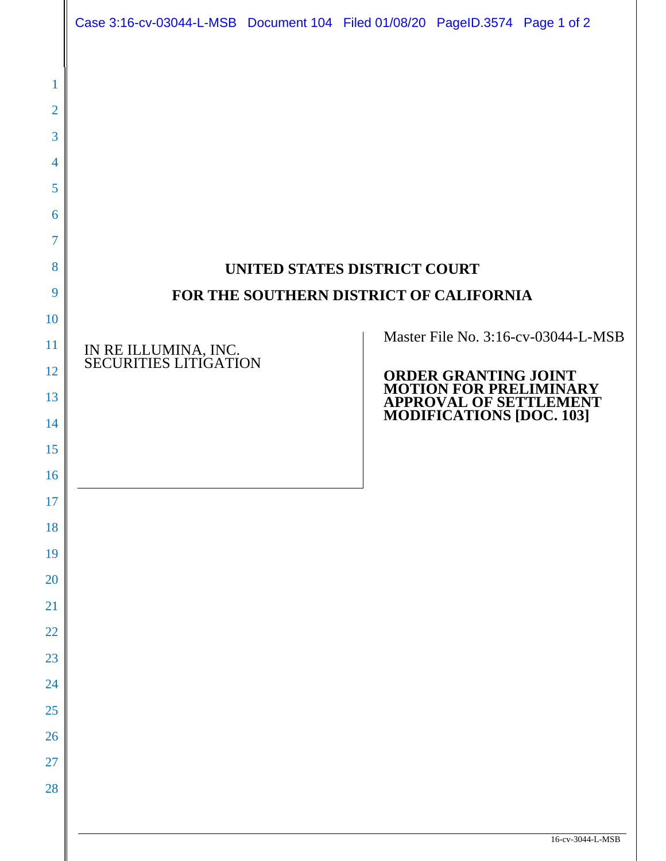|                                                                | Case 3:16-cv-03044-L-MSB Document 104 Filed 01/08/20 PageID.3574 Page 1 of 2 |  |  |                                                                                               |                  |
|----------------------------------------------------------------|------------------------------------------------------------------------------|--|--|-----------------------------------------------------------------------------------------------|------------------|
| 1<br>$\overline{2}$<br>3<br>4<br>5<br>6<br>$\overline{7}$<br>8 |                                                                              |  |  |                                                                                               |                  |
| 9                                                              | UNITED STATES DISTRICT COURT<br>FOR THE SOUTHERN DISTRICT OF CALIFORNIA      |  |  |                                                                                               |                  |
| 10                                                             |                                                                              |  |  |                                                                                               |                  |
| 11                                                             | IN RE ILLUMINA, INC.<br>SECURITIES LITIGATION                                |  |  | Master File No. 3:16-cv-03044-L-MSB<br><b>ORDER GRANTING JOINT<br/>MOTION FOR PRELIMINARY</b> |                  |
| 12                                                             |                                                                              |  |  |                                                                                               |                  |
| 13                                                             |                                                                              |  |  | <b>APPROVAL OF SETTLEMENT<br/>MODIFICATIONS [DOC. 103]</b>                                    |                  |
| 14<br>15                                                       |                                                                              |  |  |                                                                                               |                  |
| 16                                                             |                                                                              |  |  |                                                                                               |                  |
| 17                                                             |                                                                              |  |  |                                                                                               |                  |
| 18                                                             |                                                                              |  |  |                                                                                               |                  |
| 19                                                             |                                                                              |  |  |                                                                                               |                  |
| 20                                                             |                                                                              |  |  |                                                                                               |                  |
| 21                                                             |                                                                              |  |  |                                                                                               |                  |
| <b>22</b>                                                      |                                                                              |  |  |                                                                                               |                  |
| 23                                                             |                                                                              |  |  |                                                                                               |                  |
| 24                                                             |                                                                              |  |  |                                                                                               |                  |
| 25<br>26                                                       |                                                                              |  |  |                                                                                               |                  |
| <b>27</b>                                                      |                                                                              |  |  |                                                                                               |                  |
| 28                                                             |                                                                              |  |  |                                                                                               |                  |
|                                                                |                                                                              |  |  |                                                                                               |                  |
|                                                                |                                                                              |  |  |                                                                                               | 16-cv-3044-L-MSB |